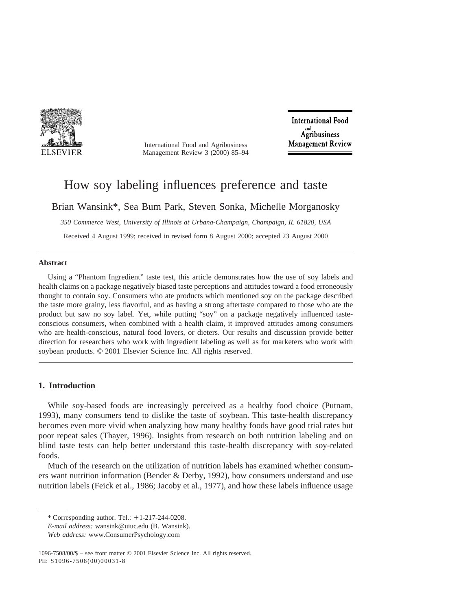

International Food and Agribusiness Management Review 3 (2000) 85–94

**International Food** Agribusiness **Management Review** 

# How soy labeling influences preference and taste

Brian Wansink\*, Sea Bum Park, Steven Sonka, Michelle Morganosky

*350 Commerce West, University of Illinois at Urbana-Champaign, Champaign, IL 61820, USA*

Received 4 August 1999; received in revised form 8 August 2000; accepted 23 August 2000

#### **Abstract**

Using a "Phantom Ingredient" taste test, this article demonstrates how the use of soy labels and health claims on a package negatively biased taste perceptions and attitudes toward a food erroneously thought to contain soy. Consumers who ate products which mentioned soy on the package described the taste more grainy, less flavorful, and as having a strong aftertaste compared to those who ate the product but saw no soy label. Yet, while putting "soy" on a package negatively influenced tasteconscious consumers, when combined with a health claim, it improved attitudes among consumers who are health-conscious, natural food lovers, or dieters. Our results and discussion provide better direction for researchers who work with ingredient labeling as well as for marketers who work with soybean products. © 2001 Elsevier Science Inc. All rights reserved.

# **1. Introduction**

While soy-based foods are increasingly perceived as a healthy food choice (Putnam, 1993), many consumers tend to dislike the taste of soybean. This taste-health discrepancy becomes even more vivid when analyzing how many healthy foods have good trial rates but poor repeat sales (Thayer, 1996). Insights from research on both nutrition labeling and on blind taste tests can help better understand this taste-health discrepancy with soy-related foods.

Much of the research on the utilization of nutrition labels has examined whether consumers want nutrition information (Bender & Derby, 1992), how consumers understand and use nutrition labels (Feick et al., 1986; Jacoby et al., 1977), and how these labels influence usage

 $*$  Corresponding author. Tel.:  $+1-217-244-0208$ .

*E-mail address:* wansink@uiuc.edu (B. Wansink).

*Web address:* www.ConsumerPsychology.com

<sup>1096-7508/00/\$ –</sup> see front matter © 2001 Elsevier Science Inc. All rights reserved. PII: S1096-7508(00)00031-8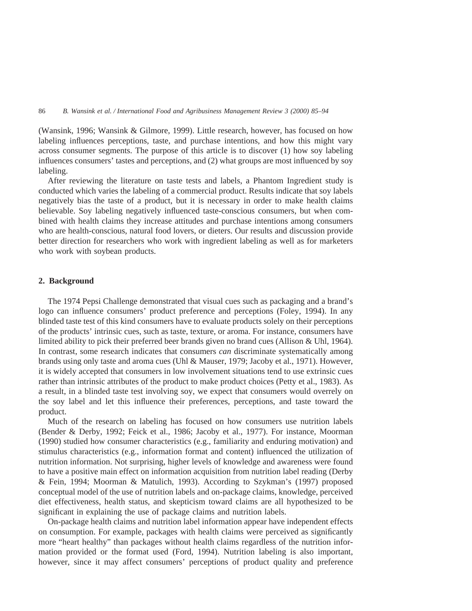(Wansink, 1996; Wansink & Gilmore, 1999). Little research, however, has focused on how labeling influences perceptions, taste, and purchase intentions, and how this might vary across consumer segments. The purpose of this article is to discover (1) how soy labeling influences consumers' tastes and perceptions, and (2) what groups are most influenced by soy labeling.

After reviewing the literature on taste tests and labels, a Phantom Ingredient study is conducted which varies the labeling of a commercial product. Results indicate that soy labels negatively bias the taste of a product, but it is necessary in order to make health claims believable. Soy labeling negatively influenced taste-conscious consumers, but when combined with health claims they increase attitudes and purchase intentions among consumers who are health-conscious, natural food lovers, or dieters. Our results and discussion provide better direction for researchers who work with ingredient labeling as well as for marketers who work with soybean products.

# **2. Background**

The 1974 Pepsi Challenge demonstrated that visual cues such as packaging and a brand's logo can influence consumers' product preference and perceptions (Foley, 1994). In any blinded taste test of this kind consumers have to evaluate products solely on their perceptions of the products' intrinsic cues, such as taste, texture, or aroma. For instance, consumers have limited ability to pick their preferred beer brands given no brand cues (Allison & Uhl, 1964). In contrast, some research indicates that consumers *can* discriminate systematically among brands using only taste and aroma cues (Uhl & Mauser, 1979; Jacoby et al., 1971). However, it is widely accepted that consumers in low involvement situations tend to use extrinsic cues rather than intrinsic attributes of the product to make product choices (Petty et al., 1983). As a result, in a blinded taste test involving soy, we expect that consumers would overrely on the soy label and let this influence their preferences, perceptions, and taste toward the product.

Much of the research on labeling has focused on how consumers use nutrition labels (Bender & Derby, 1992; Feick et al., 1986; Jacoby et al., 1977). For instance, Moorman (1990) studied how consumer characteristics (e.g., familiarity and enduring motivation) and stimulus characteristics (e.g., information format and content) influenced the utilization of nutrition information. Not surprising, higher levels of knowledge and awareness were found to have a positive main effect on information acquisition from nutrition label reading (Derby & Fein, 1994; Moorman & Matulich, 1993). According to Szykman's (1997) proposed conceptual model of the use of nutrition labels and on-package claims, knowledge, perceived diet effectiveness, health status, and skepticism toward claims are all hypothesized to be significant in explaining the use of package claims and nutrition labels.

On-package health claims and nutrition label information appear have independent effects on consumption. For example, packages with health claims were perceived as significantly more "heart healthy" than packages without health claims regardless of the nutrition information provided or the format used (Ford, 1994). Nutrition labeling is also important, however, since it may affect consumers' perceptions of product quality and preference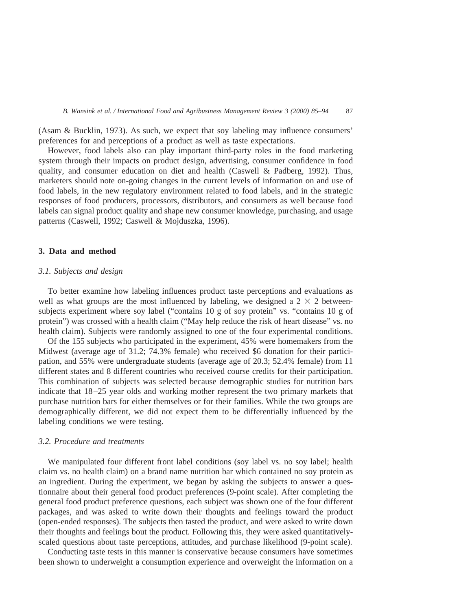(Asam & Bucklin, 1973). As such, we expect that soy labeling may influence consumers' preferences for and perceptions of a product as well as taste expectations.

However, food labels also can play important third-party roles in the food marketing system through their impacts on product design, advertising, consumer confidence in food quality, and consumer education on diet and health (Caswell & Padberg, 1992). Thus, marketers should note on-going changes in the current levels of information on and use of food labels, in the new regulatory environment related to food labels, and in the strategic responses of food producers, processors, distributors, and consumers as well because food labels can signal product quality and shape new consumer knowledge, purchasing, and usage patterns (Caswell, 1992; Caswell & Mojduszka, 1996).

## **3. Data and method**

# *3.1. Subjects and design*

To better examine how labeling influences product taste perceptions and evaluations as well as what groups are the most influenced by labeling, we designed a  $2 \times 2$  betweensubjects experiment where soy label ("contains 10 g of soy protein" vs. "contains 10 g of protein") was crossed with a health claim ("May help reduce the risk of heart disease" vs. no health claim). Subjects were randomly assigned to one of the four experimental conditions.

Of the 155 subjects who participated in the experiment, 45% were homemakers from the Midwest (average age of 31.2; 74.3% female) who received \$6 donation for their participation, and 55% were undergraduate students (average age of 20.3; 52.4% female) from 11 different states and 8 different countries who received course credits for their participation. This combination of subjects was selected because demographic studies for nutrition bars indicate that 18–25 year olds and working mother represent the two primary markets that purchase nutrition bars for either themselves or for their families. While the two groups are demographically different, we did not expect them to be differentially influenced by the labeling conditions we were testing.

#### *3.2. Procedure and treatments*

We manipulated four different front label conditions (soy label vs. no soy label; health claim vs. no health claim) on a brand name nutrition bar which contained no soy protein as an ingredient. During the experiment, we began by asking the subjects to answer a questionnaire about their general food product preferences (9-point scale). After completing the general food product preference questions, each subject was shown one of the four different packages, and was asked to write down their thoughts and feelings toward the product (open-ended responses). The subjects then tasted the product, and were asked to write down their thoughts and feelings bout the product. Following this, they were asked quantitativelyscaled questions about taste perceptions, attitudes, and purchase likelihood (9-point scale).

Conducting taste tests in this manner is conservative because consumers have sometimes been shown to underweight a consumption experience and overweight the information on a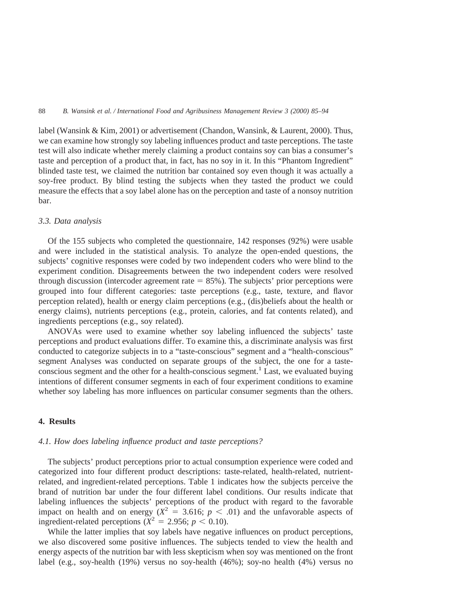label (Wansink & Kim, 2001) or advertisement (Chandon, Wansink, & Laurent, 2000). Thus, we can examine how strongly soy labeling influences product and taste perceptions. The taste test will also indicate whether merely claiming a product contains soy can bias a consumer's taste and perception of a product that, in fact, has no soy in it. In this "Phantom Ingredient" blinded taste test, we claimed the nutrition bar contained soy even though it was actually a soy-free product. By blind testing the subjects when they tasted the product we could measure the effects that a soy label alone has on the perception and taste of a nonsoy nutrition bar.

#### *3.3. Data analysis*

Of the 155 subjects who completed the questionnaire, 142 responses (92%) were usable and were included in the statistical analysis. To analyze the open-ended questions, the subjects' cognitive responses were coded by two independent coders who were blind to the experiment condition. Disagreements between the two independent coders were resolved through discussion (intercoder agreement rate  $= 85\%$ ). The subjects' prior perceptions were grouped into four different categories: taste perceptions (e.g., taste, texture, and flavor perception related), health or energy claim perceptions (e.g., (dis)beliefs about the health or energy claims), nutrients perceptions (e.g., protein, calories, and fat contents related), and ingredients perceptions (e.g., soy related).

ANOVAs were used to examine whether soy labeling influenced the subjects' taste perceptions and product evaluations differ. To examine this, a discriminate analysis was first conducted to categorize subjects in to a "taste-conscious" segment and a "health-conscious" segment Analyses was conducted on separate groups of the subject, the one for a tasteconscious segment and the other for a health-conscious segment.<sup>1</sup> Last, we evaluated buying intentions of different consumer segments in each of four experiment conditions to examine whether soy labeling has more influences on particular consumer segments than the others.

# **4. Results**

#### *4.1. How does labeling influence product and taste perceptions?*

The subjects' product perceptions prior to actual consumption experience were coded and categorized into four different product descriptions: taste-related, health-related, nutrientrelated, and ingredient-related perceptions. Table 1 indicates how the subjects perceive the brand of nutrition bar under the four different label conditions. Our results indicate that labeling influences the subjects' perceptions of the product with regard to the favorable impact on health and on energy  $(X^2 = 3.616; p < .01)$  and the unfavorable aspects of ingredient-related perceptions ( $\dot{X}^2 = 2.956$ ;  $p < 0.10$ ).

While the latter implies that soy labels have negative influences on product perceptions, we also discovered some positive influences. The subjects tended to view the health and energy aspects of the nutrition bar with less skepticism when soy was mentioned on the front label (e.g., soy-health (19%) versus no soy-health (46%); soy-no health (4%) versus no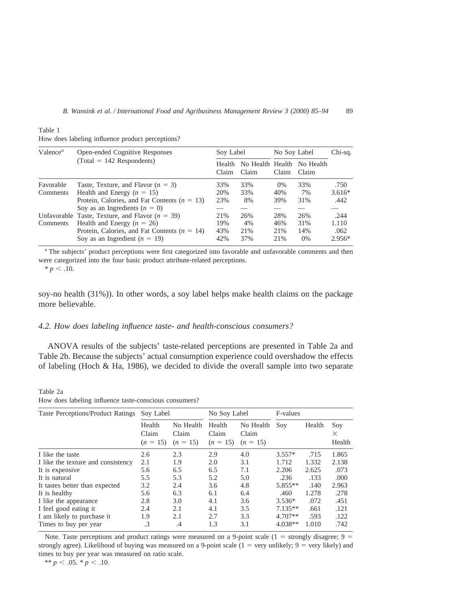Table 1

How does labeling influence product perceptions?

| Valence <sup>a</sup> | <b>Open-ended Cognitive Responses</b>             | Soy Label        |       | No Soy Label |                                     | Chi-sq.  |
|----------------------|---------------------------------------------------|------------------|-------|--------------|-------------------------------------|----------|
|                      | $(Total = 142$ Respondents)                       | Health.<br>Claim | Claim | Claim        | No Health Health No Health<br>Claim |          |
| Favorable            | Taste, Texture, and Flavor $(n = 3)$              | 33%              | 33%   | $0\%$        | 33%                                 | .750     |
| Comments             | Health and Energy $(n = 15)$                      | 20%              | 33%   | 40%          | 7%                                  | $3.616*$ |
|                      | Protein, Calories, and Fat Contents ( $n = 13$ )  | 23%              | 8%    | 39%          | 31%                                 | .442     |
|                      | Soy as an Ingredients $(n = 0)$                   |                  |       |              |                                     |          |
|                      | Unfavorable Taste, Texture, and Flavor $(n = 39)$ | 21%              | 26%   | 28%          | 26%                                 | .244     |
| Comments             | Health and Energy $(n = 26)$                      | 19%              | 4%    | 46%          | 31%                                 | 1.110    |
|                      | Protein, Calories, and Fat Contents ( $n = 14$ )  | 43%              | 21%   | 21%          | 14%                                 | .062     |
|                      | Soy as an Ingredient ( $n = 19$ )                 | 42%              | 37%   | 21%          | $0\%$                               | $2.956*$ |

<sup>a</sup> The subjects' product perceptions were first categorized into favorable and unfavorable comments and then were categorized into the four basic product attribute-related perceptions.

 $* p < .10.$ 

soy-no health (31%)). In other words, a soy label helps make health claims on the package more believable.

## *4.2. How does labeling influence taste- and health-conscious consumers?*

ANOVA results of the subjects' taste-related perceptions are presented in Table 2a and Table 2b. Because the subjects' actual consumption experience could overshadow the effects of labeling (Hoch & Ha, 1986), we decided to divide the overall sample into two separate

Table 2a How does labeling influence taste-conscious consumers?

| Taste Perceptions/Product Ratings  | Soy Label                     |                                  | No Soy Label                  |                                  | F-values  |        |                           |
|------------------------------------|-------------------------------|----------------------------------|-------------------------------|----------------------------------|-----------|--------|---------------------------|
|                                    | Health<br>Claim<br>$(n = 15)$ | No Health<br>Claim<br>$(n = 15)$ | Health<br>Claim<br>$(n = 15)$ | No Health<br>Claim<br>$(n = 15)$ | Soy       | Health | Soy<br>$\times$<br>Health |
| I like the taste                   | 2.6                           | 2.3                              | 2.9                           | 4.0                              | $3.557*$  | .715   | 1.865                     |
| I like the texture and consistency | 2.1                           | 1.9                              | 2.0                           | 3.1                              | 1.712     | 1.332  | 2.138                     |
| It is expensive                    | 5.6                           | 6.5                              | 6.5                           | 7.1                              | 2.206     | 2.625  | .073                      |
| It is natural                      | 5.5                           | 5.3                              | 5.2                           | 5.0                              | .236      | .133   | .000                      |
| It tastes better than expected     | 3.2                           | 2.4                              | 3.6                           | 4.8                              | $5.855**$ | .140   | 2.963                     |
| It is healthy                      | 5.6                           | 6.3                              | 6.1                           | 6.4                              | .460      | 1.278  | .278                      |
| I like the appearance              | 2.8                           | 3.0                              | 4.1                           | 3.6                              | $3.536*$  | .072   | .451                      |
| I feel good eating it              | 2.4                           | 2.1                              | 4.1                           | 3.5                              | $7.135**$ | .661   | .121                      |
| I am likely to purchase it         | 1.9                           | 2.1                              | 2.7                           | 3.3                              | $4.707**$ | .593   | .122                      |
| Times to buy per year              | $\cdot$ 3                     | .4                               | 1.3                           | 3.1                              | $4.038**$ | 1.010  | .742                      |

Note. Taste perceptions and product ratings were measured on a 9-point scale ( $1 =$  strongly disagree;  $9 =$ strongly agree). Likelihood of buying was measured on a 9-point scale  $(1 = \text{very unlikely}; 9 = \text{very likely})$  and times to buy per year was measured on ratio scale.

\*\* *p* < .05. \* *p* < .10.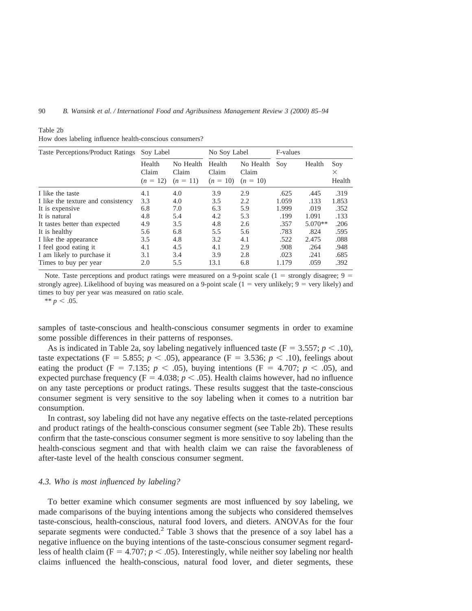| Taste Perceptions/Product Ratings  | Soy Label                     |                                  | No Soy Label                  |                                  | F-values |           |                           |
|------------------------------------|-------------------------------|----------------------------------|-------------------------------|----------------------------------|----------|-----------|---------------------------|
|                                    | Health<br>Claim<br>$(n = 12)$ | No Health<br>Claim<br>$(n = 11)$ | Health<br>Claim<br>$(n = 10)$ | No Health<br>Claim<br>$(n = 10)$ | Soy      | Health    | Soy<br>$\times$<br>Health |
| I like the taste                   | 4.1                           | 4.0                              | 3.9                           | 2.9                              | .625     | .445      | .319                      |
| I like the texture and consistency | 3.3                           | 4.0                              | 3.5                           | 2.2                              | 1.059    | .133      | 1.853                     |
| It is expensive.                   | 6.8                           | 7.0                              | 6.3                           | 5.9                              | 1.999    | .019      | .352                      |
| It is natural                      | 4.8                           | 5.4                              | 4.2                           | 5.3                              | .199     | 1.091     | .133                      |
| It tastes better than expected     | 4.9                           | 3.5                              | 4.8                           | 2.6                              | .357     | $5.070**$ | .206                      |
| It is healthy                      | 5.6                           | 6.8                              | 5.5                           | 5.6                              | .783     | .824      | .595                      |
| I like the appearance              | 3.5                           | 4.8                              | 3.2                           | 4.1                              | .522     | 2.475     | .088                      |
| I feel good eating it              | 4.1                           | 4.5                              | 4.1                           | 2.9                              | .908     | .264      | .948                      |
| I am likely to purchase it         | 3.1                           | 3.4                              | 3.9                           | 2.8                              | .023     | .241      | .685                      |
| Times to buy per year              | 2.0                           | 5.5                              | 13.1                          | 6.8                              | 1.179    | .059      | .392                      |

|  |  | How does labeling influence health-conscious consumers? |  |
|--|--|---------------------------------------------------------|--|
|  |  |                                                         |  |

Note. Taste perceptions and product ratings were measured on a 9-point scale ( $1 =$  strongly disagree;  $9 =$ strongly agree). Likelihood of buying was measured on a 9-point scale  $(1 = \text{very unlikely}, 9 = \text{very likely})$  and times to buy per year was measured on ratio scale.

\*\*  $p < .05$ .

Table 2b

samples of taste-conscious and health-conscious consumer segments in order to examine some possible differences in their patterns of responses.

As is indicated in Table 2a, soy labeling negatively influenced taste  $(F = 3.557; p < .10)$ , taste expectations (F = 5.855;  $p < .05$ ), appearance (F = 3.536;  $p < .10$ ), feelings about eating the product (F = 7.135;  $p < .05$ ), buying intentions (F = 4.707;  $p < .05$ ), and expected purchase frequency ( $F = 4.038$ ;  $p < .05$ ). Health claims however, had no influence on any taste perceptions or product ratings. These results suggest that the taste-conscious consumer segment is very sensitive to the soy labeling when it comes to a nutrition bar consumption.

In contrast, soy labeling did not have any negative effects on the taste-related perceptions and product ratings of the health-conscious consumer segment (see Table 2b). These results confirm that the taste-conscious consumer segment is more sensitive to soy labeling than the health-conscious segment and that with health claim we can raise the favorableness of after-taste level of the health conscious consumer segment.

# *4.3. Who is most influenced by labeling?*

To better examine which consumer segments are most influenced by soy labeling, we made comparisons of the buying intentions among the subjects who considered themselves taste-conscious, health-conscious, natural food lovers, and dieters. ANOVAs for the four separate segments were conducted.<sup>2</sup> Table 3 shows that the presence of a soy label has a negative influence on the buying intentions of the taste-conscious consumer segment regardless of health claim ( $F = 4.707$ ;  $p < .05$ ). Interestingly, while neither soy labeling nor health claims influenced the health-conscious, natural food lover, and dieter segments, these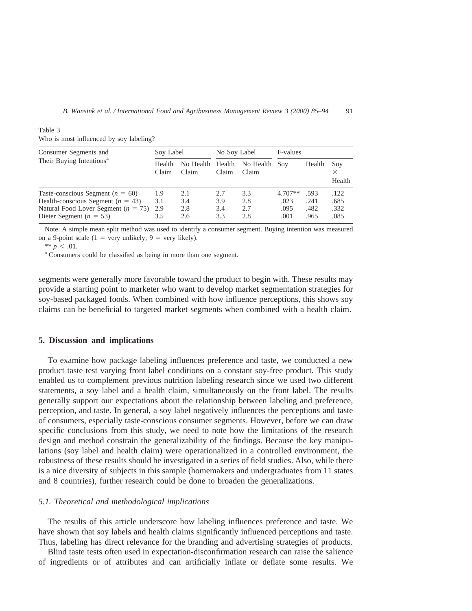| Consumer Segments and                       | Soy Label       |                           | No Soy Label |                        | F-values  |        |                    |
|---------------------------------------------|-----------------|---------------------------|--------------|------------------------|-----------|--------|--------------------|
| Their Buying Intentions <sup>a</sup>        | Health<br>Claim | No Health Health<br>Claim | Claim        | No Health Soy<br>Claim |           | Health | Soy<br>×<br>Health |
| Taste-conscious Segment ( $n = 60$ )        | 1.9             | 2.1                       | 2.7          | 3.3                    | $4.707**$ | .593   | .122               |
| Health-conscious Segment ( $n = 43$ )       | 3.1             | 3.4                       | 3.9          | 2.8                    | .023      | .241   | .685               |
| Natural Food Lover Segment ( $n = 75$ ) 2.9 |                 | 2.8                       | 3.4          | 2.7                    | .095      | .482   | .332               |
| Dieter Segment ( $n = 53$ )                 | 3.5             | 2.6                       | 3.3          | 2.8                    | .001      | .965   | .085               |

Table 3 Who is most influenced by soy labeling?

Note. A simple mean split method was used to identify a consumer segment. Buying intention was measured on a 9-point scale (1 = very unlikely; 9 = very likely).

\*\*  $p < .01$ .<br><sup>a</sup> Consumers could be classified as being in more than one segment.

segments were generally more favorable toward the product to begin with. These results may provide a starting point to marketer who want to develop market segmentation strategies for soy-based packaged foods. When combined with how influence perceptions, this shows soy claims can be beneficial to targeted market segments when combined with a health claim.

## **5. Discussion and implications**

To examine how package labeling influences preference and taste, we conducted a new product taste test varying front label conditions on a constant soy-free product. This study enabled us to complement previous nutrition labeling research since we used two different statements, a soy label and a health claim, simultaneously on the front label. The results generally support our expectations about the relationship between labeling and preference, perception, and taste. In general, a soy label negatively influences the perceptions and taste of consumers, especially taste-conscious consumer segments. However, before we can draw specific conclusions from this study, we need to note how the limitations of the research design and method constrain the generalizability of the findings. Because the key manipulations (soy label and health claim) were operationalized in a controlled environment, the robustness of these results should be investigated in a series of field studies. Also, while there is a nice diversity of subjects in this sample (homemakers and undergraduates from 11 states and 8 countries), further research could be done to broaden the generalizations.

### *5.1. Theoretical and methodological implications*

The results of this article underscore how labeling influences preference and taste. We have shown that soy labels and health claims significantly influenced perceptions and taste. Thus, labeling has direct relevance for the branding and advertising strategies of products.

Blind taste tests often used in expectation-disconfirmation research can raise the salience of ingredients or of attributes and can artificially inflate or deflate some results. We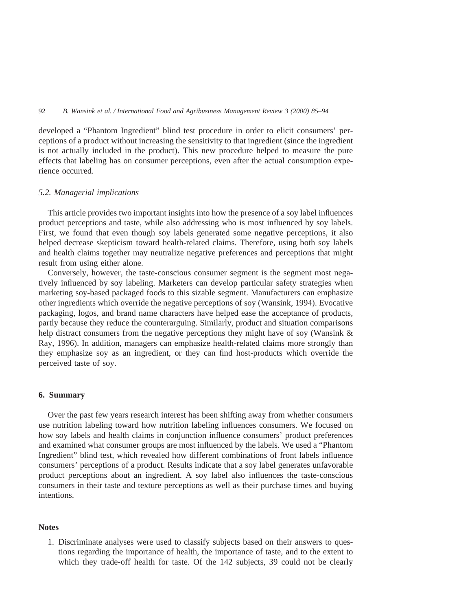developed a "Phantom Ingredient" blind test procedure in order to elicit consumers' perceptions of a product without increasing the sensitivity to that ingredient (since the ingredient is not actually included in the product). This new procedure helped to measure the pure effects that labeling has on consumer perceptions, even after the actual consumption experience occurred.

## *5.2. Managerial implications*

This article provides two important insights into how the presence of a soy label influences product perceptions and taste, while also addressing who is most influenced by soy labels. First, we found that even though soy labels generated some negative perceptions, it also helped decrease skepticism toward health-related claims. Therefore, using both soy labels and health claims together may neutralize negative preferences and perceptions that might result from using either alone.

Conversely, however, the taste-conscious consumer segment is the segment most negatively influenced by soy labeling. Marketers can develop particular safety strategies when marketing soy-based packaged foods to this sizable segment. Manufacturers can emphasize other ingredients which override the negative perceptions of soy (Wansink, 1994). Evocative packaging, logos, and brand name characters have helped ease the acceptance of products, partly because they reduce the counterarguing. Similarly, product and situation comparisons help distract consumers from the negative perceptions they might have of soy (Wansink & Ray, 1996). In addition, managers can emphasize health-related claims more strongly than they emphasize soy as an ingredient, or they can find host-products which override the perceived taste of soy.

# **6. Summary**

Over the past few years research interest has been shifting away from whether consumers use nutrition labeling toward how nutrition labeling influences consumers. We focused on how soy labels and health claims in conjunction influence consumers' product preferences and examined what consumer groups are most influenced by the labels. We used a "Phantom Ingredient" blind test, which revealed how different combinations of front labels influence consumers' perceptions of a product. Results indicate that a soy label generates unfavorable product perceptions about an ingredient. A soy label also influences the taste-conscious consumers in their taste and texture perceptions as well as their purchase times and buying intentions.

# **Notes**

1. Discriminate analyses were used to classify subjects based on their answers to questions regarding the importance of health, the importance of taste, and to the extent to which they trade-off health for taste. Of the 142 subjects, 39 could not be clearly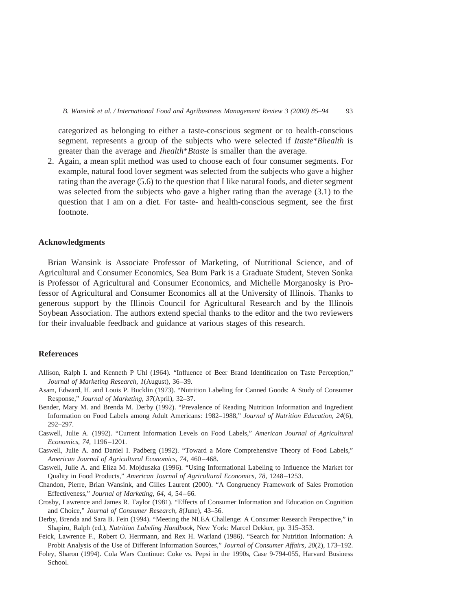categorized as belonging to either a taste-conscious segment or to health-conscious segment. represents a group of the subjects who were selected if *Itaste*\**Bhealth* is greater than the average and *Ihealth*\**Btaste* is smaller than the average.

2. Again, a mean split method was used to choose each of four consumer segments. For example, natural food lover segment was selected from the subjects who gave a higher rating than the average (5.6) to the question that I like natural foods, and dieter segment was selected from the subjects who gave a higher rating than the average (3.1) to the question that I am on a diet. For taste- and health-conscious segment, see the first footnote.

#### **Acknowledgments**

Brian Wansink is Associate Professor of Marketing, of Nutritional Science, and of Agricultural and Consumer Economics, Sea Bum Park is a Graduate Student, Steven Sonka is Professor of Agricultural and Consumer Economics, and Michelle Morganosky is Professor of Agricultural and Consumer Economics all at the University of Illinois. Thanks to generous support by the Illinois Council for Agricultural Research and by the Illinois Soybean Association. The authors extend special thanks to the editor and the two reviewers for their invaluable feedback and guidance at various stages of this research.

## **References**

- Allison, Ralph I. and Kenneth P Uhl (1964). "Influence of Beer Brand Identification on Taste Perception," *Journal of Marketing Research, 1*(August), 36–39.
- Asam, Edward, H. and Louis P. Bucklin (1973). "Nutrition Labeling for Canned Goods: A Study of Consumer Response," *Journal of Marketing, 37*(April), 32–37.
- Bender, Mary M. and Brenda M. Derby (1992). "Prevalence of Reading Nutrition Information and Ingredient Information on Food Labels among Adult Americans: 1982–1988," *Journal of Nutrition Education, 24*(6), 292–297.
- Caswell, Julie A. (1992). "Current Information Levels on Food Labels," *American Journal of Agricultural Economics, 74,* 1196–1201.
- Caswell, Julie A. and Daniel I. Padberg (1992). "Toward a More Comprehensive Theory of Food Labels," *American Journal of Agricultural Economics, 74,* 460–468.
- Caswell, Julie A. and Eliza M. Mojduszka (1996). "Using Informational Labeling to Influence the Market for Quality in Food Products," *American Journal of Agricultural Economics, 78,* 1248–1253.
- Chandon, Pierre, Brian Wansink, and Gilles Laurent (2000). "A Congruency Framework of Sales Promotion Effectiveness," *Journal of Marketing, 64,* 4, 54–66.
- Crosby, Lawrence and James R. Taylor (1981). "Effects of Consumer Information and Education on Cognition and Choice," *Journal of Consumer Research, 8*(June), 43–56.
- Derby, Brenda and Sara B. Fein (1994). "Meeting the NLEA Challenge: A Consumer Research Perspective," in Shapiro, Ralph (ed.), *Nutrition Labeling Handbook,* New York: Marcel Dekker, pp. 315–353.
- Feick, Lawrence F., Robert O. Herrmann, and Rex H. Warland (1986). "Search for Nutrition Information: A Probit Analysis of the Use of Different Information Sources," *Journal of Consumer Affairs, 20*(2), 173–192.
- Foley, Sharon (1994). Cola Wars Continue: Coke vs. Pepsi in the 1990s, Case 9-794-055, Harvard Business School.